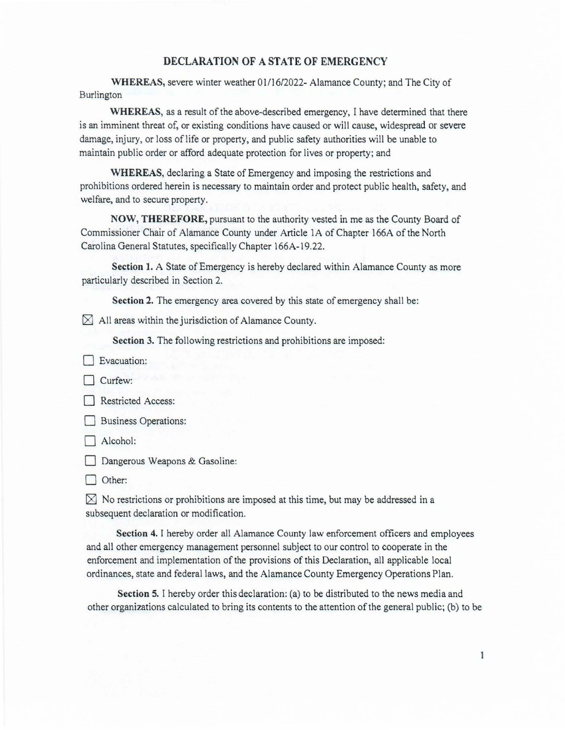## **DECLARATION OF A STATE OF EMERGENCY**

WHEREAS, severe winter weather 01/16/2022- Alamance County; and The City of Burlington

**WHEREAS,** as a result of the above-described emergency, I have determined that there is an imminent threat of, or existing conditions have caused or will cause, widespread or severe damage, injury, or loss of life or property, and public safety authorities will be unable to maintain public order or afford adequate protection for lives or property; and

**WHEREAS,** declaring a State of Emergency and imposing the restrictions and prohibitions ordered herein is necessary to maintain order and protect public health, safety, and welfare, and to secure property.

**NOW, THEREFORE,** pursuant to the authority vested in me as the County Board of Commissioner Chair of Alamance County under Article lA of Chapter 166A of the North Carolina General Statutes, specifically Chapter 166A-19.22.

**Section 1.** A State of Emergency is hereby declared within Alamance County as more particularly described in Section 2.

**Section 2.** The emergency area covered by this state of emergency shall be:

 $\boxtimes$  All areas within the jurisdiction of Alamance County.

**Section 3.** The following restrictions and prohibitions are imposed:

**D** Evacuation:

 $\Box$  Curfew:

Restricted Access:

**Business Operations:** 

 $\Box$  Alcohol:

Dangerous Weapons & Gasoline:

Other:

 $\times$  No restrictions or prohibitions are imposed at this time, but may be addressed in a subsequent declaration or modification.

**Section 4.** I hereby order all Alamance County law enforcement officers and employees and all other emergency management personnel subject to our control to cooperate in the enforcement and implementation of the provisions of this Declaration, all applicable local ordinances, state and federal laws, and the Alamance County Emergency Operations Plan.

**Section** 5. I hereby order this declaration: (a) to be distributed to the news media and other organizations calculated to bring its contents to the attention of the general public; (b) to be

1